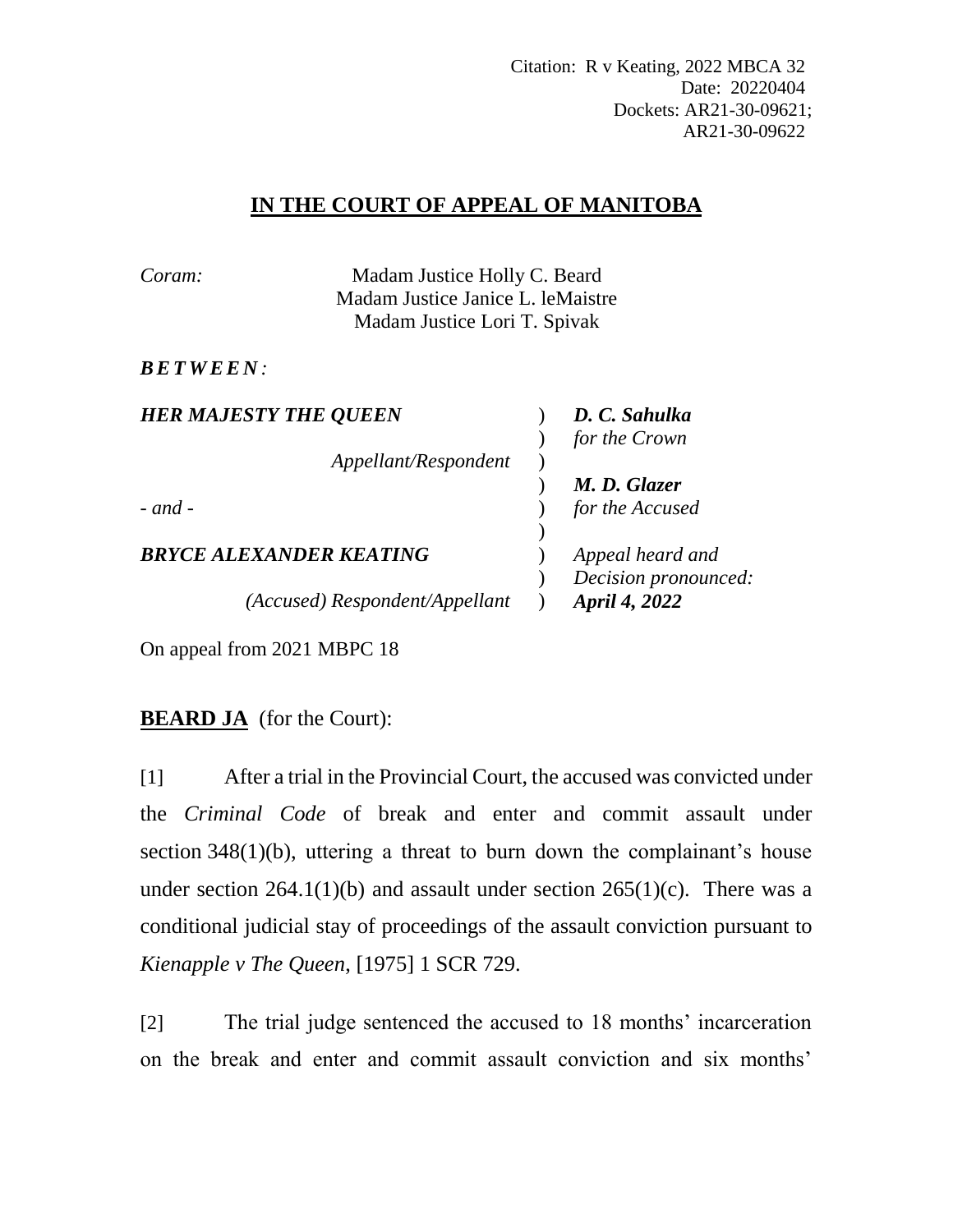Citation: R v Keating, 2022 MBCA 32 Date: 20220404 Dockets: AR21-30-09621; AR21-30-09622

## **IN THE COURT OF APPEAL OF MANITOBA**

| Coram:                         | Madam Justice Holly C. Beard<br>Madam Justice Janice L. leMaistre<br>Madam Justice Lori T. Spivak |  |                                          |
|--------------------------------|---------------------------------------------------------------------------------------------------|--|------------------------------------------|
| <b>BETWEEN:</b>                |                                                                                                   |  |                                          |
| <b>HER MAJESTY THE QUEEN</b>   |                                                                                                   |  | D. C. Sahulka<br>for the Crown           |
|                                | Appellant/Respondent                                                                              |  | M. D. Glazer                             |
| $-$ and $-$                    |                                                                                                   |  | for the Accused                          |
| <b>BRYCE ALEXANDER KEATING</b> |                                                                                                   |  | Appeal heard and<br>Decision pronounced: |
|                                | (Accused) Respondent/Appellant                                                                    |  | April 4, 2022                            |

On appeal from 2021 MBPC 18

**BEARD JA** (for the Court):

[1] After a trial in the Provincial Court, the accused was convicted under the *Criminal Code* of break and enter and commit assault under section 348(1)(b), uttering a threat to burn down the complainant's house under section 264.1(1)(b) and assault under section 265(1)(c). There was a conditional judicial stay of proceedings of the assault conviction pursuant to *Kienapple v The Queen*, [1975] 1 SCR 729.

[2] The trial judge sentenced the accused to 18 months' incarceration on the break and enter and commit assault conviction and six months'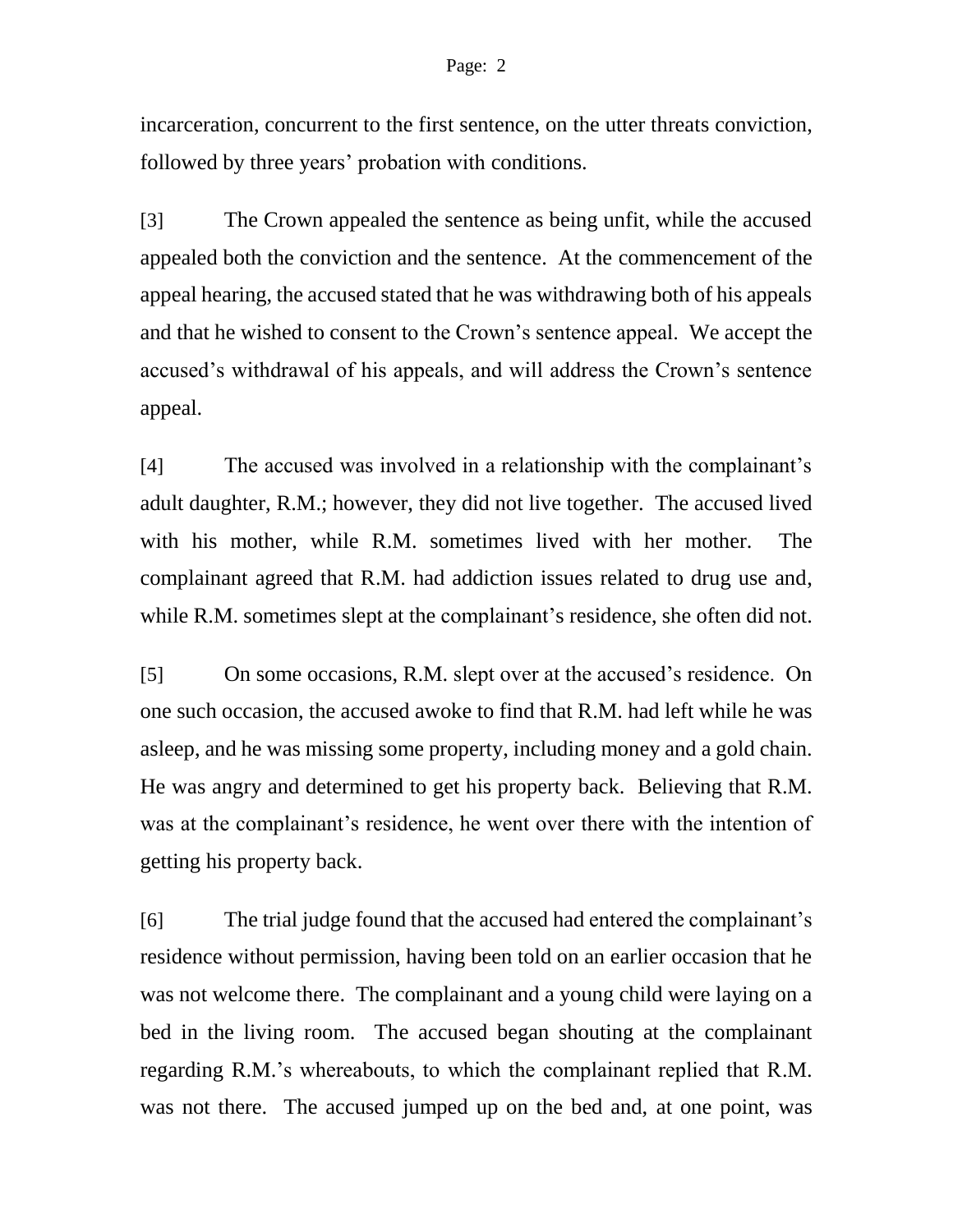## Page: 2

incarceration, concurrent to the first sentence, on the utter threats conviction, followed by three years' probation with conditions.

[3] The Crown appealed the sentence as being unfit, while the accused appealed both the conviction and the sentence. At the commencement of the appeal hearing, the accused stated that he was withdrawing both of his appeals and that he wished to consent to the Crown's sentence appeal. We accept the accused's withdrawal of his appeals, and will address the Crown's sentence appeal.

[4] The accused was involved in a relationship with the complainant's adult daughter, R.M.; however, they did not live together. The accused lived with his mother, while R.M. sometimes lived with her mother. The complainant agreed that R.M. had addiction issues related to drug use and, while R.M. sometimes slept at the complainant's residence, she often did not.

[5] On some occasions, R.M. slept over at the accused's residence. On one such occasion, the accused awoke to find that R.M. had left while he was asleep, and he was missing some property, including money and a gold chain. He was angry and determined to get his property back. Believing that R.M. was at the complainant's residence, he went over there with the intention of getting his property back.

[6] The trial judge found that the accused had entered the complainant's residence without permission, having been told on an earlier occasion that he was not welcome there. The complainant and a young child were laying on a bed in the living room. The accused began shouting at the complainant regarding R.M.'s whereabouts, to which the complainant replied that R.M. was not there. The accused jumped up on the bed and, at one point, was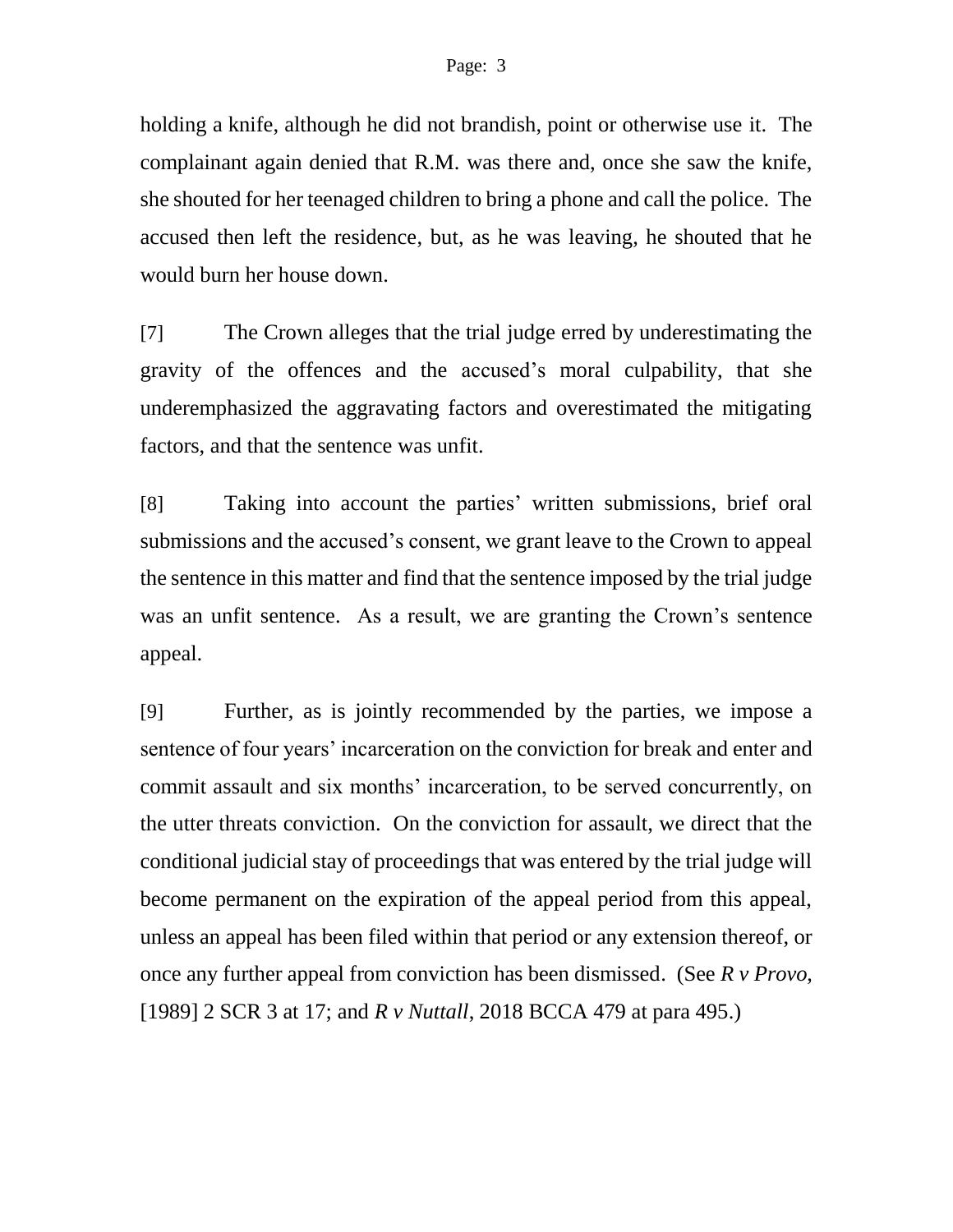holding a knife, although he did not brandish, point or otherwise use it. The complainant again denied that R.M. was there and, once she saw the knife, she shouted for her teenaged children to bring a phone and call the police. The accused then left the residence, but, as he was leaving, he shouted that he would burn her house down.

[7] The Crown alleges that the trial judge erred by underestimating the gravity of the offences and the accused's moral culpability, that she underemphasized the aggravating factors and overestimated the mitigating factors, and that the sentence was unfit.

[8] Taking into account the parties' written submissions, brief oral submissions and the accused's consent, we grant leave to the Crown to appeal the sentence in this matter and find that the sentence imposed by the trial judge was an unfit sentence. As a result, we are granting the Crown's sentence appeal.

[9] Further, as is jointly recommended by the parties, we impose a sentence of four years' incarceration on the conviction for break and enter and commit assault and six months' incarceration, to be served concurrently, on the utter threats conviction. On the conviction for assault, we direct that the conditional judicial stay of proceedings that was entered by the trial judge will become permanent on the expiration of the appeal period from this appeal, unless an appeal has been filed within that period or any extension thereof, or once any further appeal from conviction has been dismissed. (See *R v Provo*, [1989] 2 SCR 3 at 17; and *R v Nuttall*, 2018 BCCA 479 at para 495.)